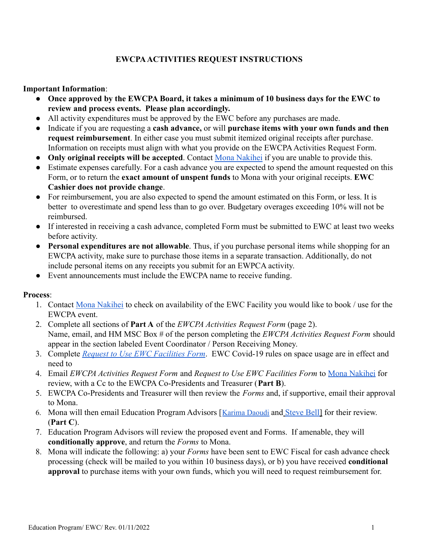# **EWCPAACTIVITIES REQUEST INSTRUCTIONS**

### **Important Information**:

- **Once approved by the EWCPA Board, it takes a minimum of 10 business days for the EWC to review and process events. Please plan accordingly.**
- All activity expenditures must be approved by the EWC before any purchases are made.
- Indicate if you are requesting a **cash advance,** or will **purchase items with your own funds and then request reimbursement**. In either case you must submit itemized original receipts after purchase. Information on receipts must align with what you provide on the EWCPA Activities Request Form.
- **Only original receipts will be accepted**. Contact Mona [Nakihei](mailto:NakiheiM@EastWestCenter.org) if you are unable to provide this.
- Estimate expenses carefully. For a cash advance you are expected to spend the amount requested on this Form, or to return the **exact amount of unspent funds** to Mona with your original receipts. **EWC Cashier does not provide change**.
- For reimbursement, you are also expected to spend the amount estimated on this Form, or less. It is better to overestimate and spend less than to go over. Budgetary overages exceeding 10% will not be reimbursed.
- If interested in receiving a cash advance, completed Form must be submitted to EWC at least two weeks before activity.
- **Personal expenditures are not allowable**. Thus, if you purchase personal items while shopping for an EWCPA activity, make sure to purchase those items in a separate transaction. Additionally, do not include personal items on any receipts you submit for an EWPCA activity.
- Event announcements must include the EWCPA name to receive funding.

## **Process**:

- 1. Contact [Mona Nakihei](mailto:NakiheiM@EastWestCenter.org) to check on availability of the EWC Facility you would like to book / use for the EWCPA event.
- 2. Complete all sections of **Part A** of the *EWCPA Activities Request Form* (page 2). Name, email, and HM MSC Box # of the person completing the *EWCPA Activities Request Form* should appear in the section labeled Event Coordinator / Person Receiving Money.
- 3. Complete *[Request to Use EWC Facilities Form](https://docs.google.com/document/d/1EMbnSFxILIFtam45jbgYo3u5U34zSMqunNTC8MZjMnk/edit?usp=sharing)*. EWC Covid-19 rules on space usage are in effect and need to
- 4. Email *EWCPA Activities Request Form* and *Request to Use EWC Facilities Form* to [Mona Nakihei](mailto:NakiheiM@EastWestCenter.org) for review, with a Cc to the EWCPA Co-Presidents and Treasurer (**Part B**).
- 5. EWCPA Co-Presidents and Treasurer will then review the *Forms* and, if supportive, email their approval to Mona.
- 6. Mona will then email Education Program Advisors [[Karima](mailto:daoudik@EastWestCenter.org) Daoudi and [Steve Bell\]](mailto:bells@eastwestcenter.org) for their review. (**Part C**).
- 7. Education Program Advisors will review the proposed event and Forms. If amenable, they will **conditionally approve**, and return the *Forms* to Mona.
- 8. Mona will indicate the following: a) your *Forms* have been sent to EWC Fiscal for cash advance check processing (check will be mailed to you within 10 business days), or b) you have received **conditional approval** to purchase items with your own funds, which you will need to request reimbursement for.